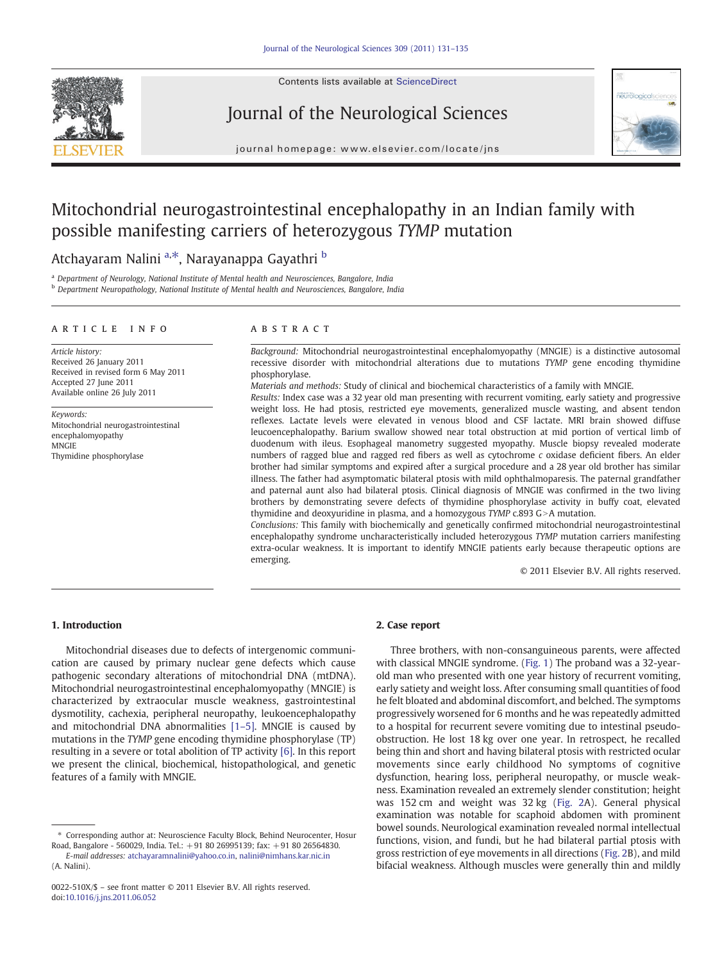Contents lists available at ScienceDirect

# Journal of the Neurological Sciences



journal homepage: www.elsevier.com/locate/jns

# Mitochondrial neurogastrointestinal encephalopathy in an Indian family with possible manifesting carriers of heterozygous TYMP mutation

# Atchayaram Nalini <sup>a,\*</sup>, Narayanappa Gayathri <sup>b</sup>

<sup>a</sup> Department of Neurology, National Institute of Mental health and Neurosciences, Bangalore, India

b Department Neuropathology, National Institute of Mental health and Neurosciences, Bangalore, India

#### article info abstract

Article history: Received 26 January 2011 Received in revised form 6 May 2011 Accepted 27 June 2011 Available online 26 July 2011

Keywords: Mitochondrial neurogastrointestinal encephalomyopathy **MNGIE** Thymidine phosphorylase

Background: Mitochondrial neurogastrointestinal encephalomyopathy (MNGIE) is a distinctive autosomal recessive disorder with mitochondrial alterations due to mutations TYMP gene encoding thymidine phosphorylase.

Materials and methods: Study of clinical and biochemical characteristics of a family with MNGIE.

Results: Index case was a 32 year old man presenting with recurrent vomiting, early satiety and progressive weight loss. He had ptosis, restricted eye movements, generalized muscle wasting, and absent tendon reflexes. Lactate levels were elevated in venous blood and CSF lactate. MRI brain showed diffuse leucoencephalopathy. Barium swallow showed near total obstruction at mid portion of vertical limb of duodenum with ileus. Esophageal manometry suggested myopathy. Muscle biopsy revealed moderate numbers of ragged blue and ragged red fibers as well as cytochrome c oxidase deficient fibers. An elder brother had similar symptoms and expired after a surgical procedure and a 28 year old brother has similar illness. The father had asymptomatic bilateral ptosis with mild ophthalmoparesis. The paternal grandfather and paternal aunt also had bilateral ptosis. Clinical diagnosis of MNGIE was confirmed in the two living brothers by demonstrating severe defects of thymidine phosphorylase activity in buffy coat, elevated thymidine and deoxyuridine in plasma, and a homozygous  $TYMP$  c.893  $G>A$  mutation.

Conclusions: This family with biochemically and genetically confirmed mitochondrial neurogastrointestinal encephalopathy syndrome uncharacteristically included heterozygous TYMP mutation carriers manifesting extra-ocular weakness. It is important to identify MNGIE patients early because therapeutic options are emerging.

© 2011 Elsevier B.V. All rights reserved.

# 1. Introduction

Mitochondrial diseases due to defects of intergenomic communication are caused by primary nuclear gene defects which cause pathogenic secondary alterations of mitochondrial DNA (mtDNA). Mitochondrial neurogastrointestinal encephalomyopathy (MNGIE) is characterized by extraocular muscle weakness, gastrointestinal dysmotility, cachexia, peripheral neuropathy, leukoencephalopathy and mitochondrial DNA abnormalities [1–[5\].](#page-3-0) MNGIE is caused by mutations in the TYMP gene encoding thymidine phosphorylase (TP) resulting in a severe or total abolition of TP activity [\[6\].](#page-3-0) In this report we present the clinical, biochemical, histopathological, and genetic features of a family with MNGIE.

# 2. Case report

Three brothers, with non-consanguineous parents, were affected with classical MNGIE syndrome. ([Fig. 1\)](#page-1-0) The proband was a 32-yearold man who presented with one year history of recurrent vomiting, early satiety and weight loss. After consuming small quantities of food he felt bloated and abdominal discomfort, and belched. The symptoms progressively worsened for 6 months and he was repeatedly admitted to a hospital for recurrent severe vomiting due to intestinal pseudoobstruction. He lost 18 kg over one year. In retrospect, he recalled being thin and short and having bilateral ptosis with restricted ocular movements since early childhood No symptoms of cognitive dysfunction, hearing loss, peripheral neuropathy, or muscle weakness. Examination revealed an extremely slender constitution; height was 152 cm and weight was 32 kg ([Fig. 2](#page-1-0)A). General physical examination was notable for scaphoid abdomen with prominent bowel sounds. Neurological examination revealed normal intellectual functions, vision, and fundi, but he had bilateral partial ptosis with gross restriction of eye movements in all directions ([Fig. 2B](#page-1-0)), and mild bifacial weakness. Although muscles were generally thin and mildly

<sup>⁎</sup> Corresponding author at: Neuroscience Faculty Block, Behind Neurocenter, Hosur Road, Bangalore - 560029, India. Tel.: +91 80 26995139; fax: +91 80 26564830.

E-mail addresses: [atchayaramnalini@yahoo.co.in](mailto:atchayaramnalini@yahoo.co.in), [nalini@nimhans.kar.nic.in](mailto:nalini@nimhans.kar.nic.in) (A. Nalini).

<sup>0022-510</sup>X/\$ – see front matter © 2011 Elsevier B.V. All rights reserved. doi:[10.1016/j.jns.2011.06.052](http://dx.doi.org/10.1016/j.jns.2011.06.052)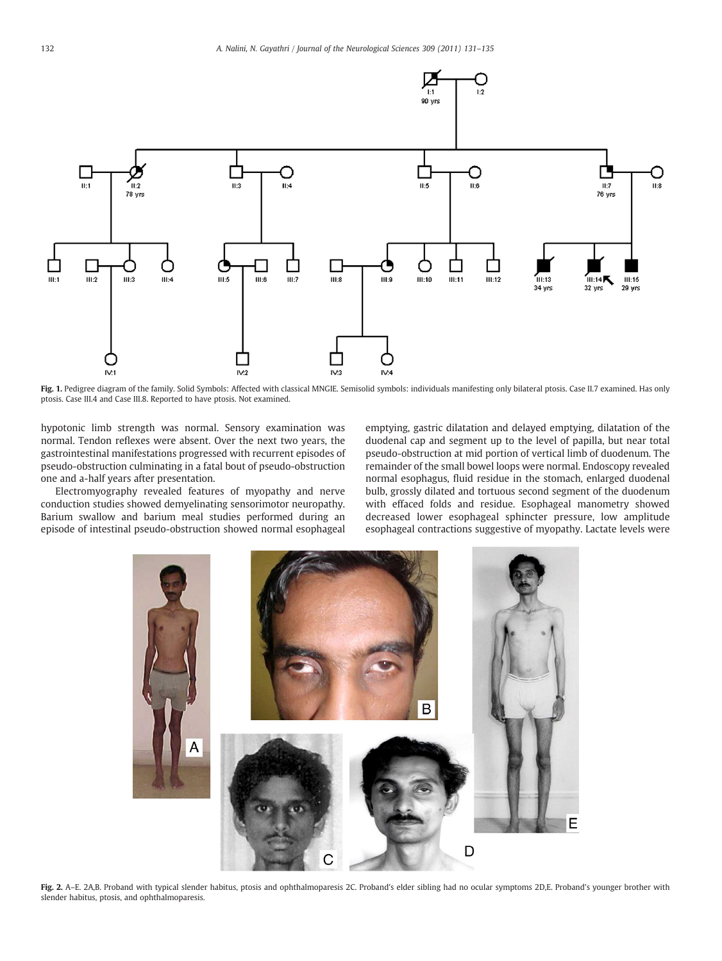<span id="page-1-0"></span>

Fig. 1. Pedigree diagram of the family. Solid Symbols: Affected with classical MNGIE. Semisolid symbols: individuals manifesting only bilateral ptosis. Case II.7 examined. Has only ptosis. Case III.4 and Case III.8. Reported to have ptosis. Not examined.

hypotonic limb strength was normal. Sensory examination was normal. Tendon reflexes were absent. Over the next two years, the gastrointestinal manifestations progressed with recurrent episodes of pseudo-obstruction culminating in a fatal bout of pseudo-obstruction one and a-half years after presentation.

Electromyography revealed features of myopathy and nerve conduction studies showed demyelinating sensorimotor neuropathy. Barium swallow and barium meal studies performed during an episode of intestinal pseudo-obstruction showed normal esophageal emptying, gastric dilatation and delayed emptying, dilatation of the duodenal cap and segment up to the level of papilla, but near total pseudo-obstruction at mid portion of vertical limb of duodenum. The remainder of the small bowel loops were normal. Endoscopy revealed normal esophagus, fluid residue in the stomach, enlarged duodenal bulb, grossly dilated and tortuous second segment of the duodenum with effaced folds and residue. Esophageal manometry showed decreased lower esophageal sphincter pressure, low amplitude esophageal contractions suggestive of myopathy. Lactate levels were



Fig. 2. A-E. 2A,B. Proband with typical slender habitus, ptosis and ophthalmoparesis 2C. Proband's elder sibling had no ocular symptoms 2D,E. Proband's younger brother with slender habitus, ptosis, and ophthalmoparesis.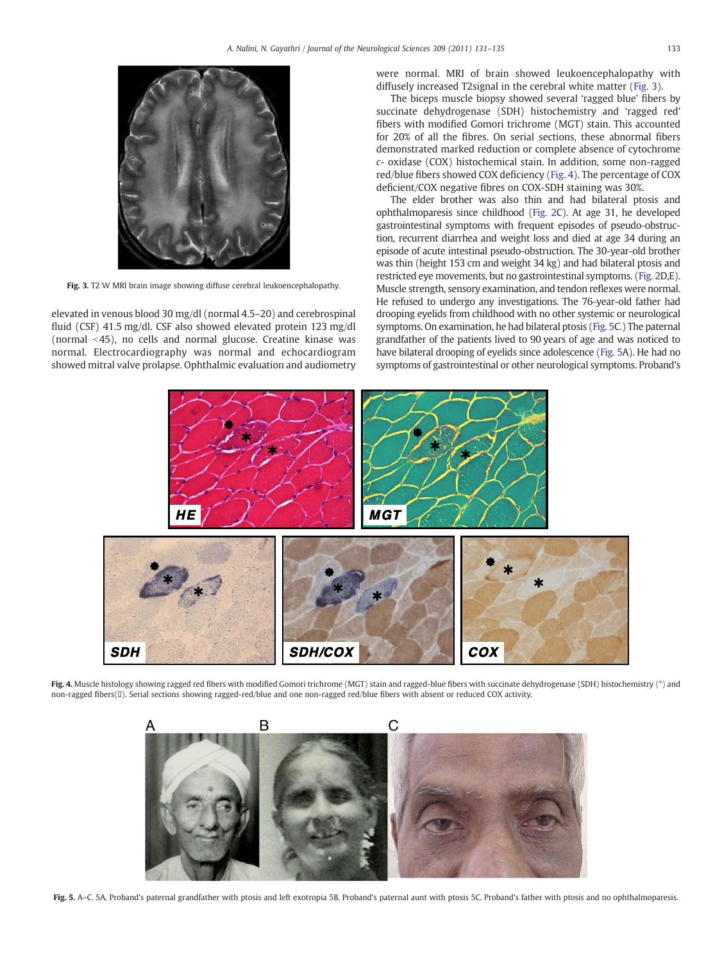<span id="page-2-0"></span>

Fig. 3. T2 W MRI brain image showing diffuse cerebral leukoencephalopathy.

elevated in venous blood 30 mg/dl (normal 4.5–20) and cerebrospinal fluid (CSF) 41.5 mg/dl. CSF also showed elevated protein 123 mg/dl (normal  $\leq$ 45), no cells and normal glucose. Creatine kinase was normal. Electrocardiography was normal and echocardiogram showed mitral valve prolapse. Ophthalmic evaluation and audiometry were normal. MRI of brain showed leukoencephalopathy with diffusely increased T2signal in the cerebral white matter (Fig. 3).

The biceps muscle biopsy showed several 'ragged blue' fibers by succinate dehydrogenase (SDH) histochemistry and 'ragged red' fibers with modified Gomori trichrome (MGT) stain. This accounted for 20% of all the fibres. On serial sections, these abnormal fibers demonstrated marked reduction or complete absence of cytochrome c- oxidase (COX) histochemical stain. In addition, some non-ragged red/blue fibers showed COX deficiency (Fig. 4). The percentage of COX deficient/COX negative fibres on COX-SDH staining was 30%.

The elder brother was also thin and had bilateral ptosis and ophthalmoparesis since childhood ([Fig. 2](#page-1-0)C). At age 31, he developed gastrointestinal symptoms with frequent episodes of pseudo-obstruction, recurrent diarrhea and weight loss and died at age 34 during an episode of acute intestinal pseudo-obstruction. The 30-year-old brother was thin (height 153 cm and weight 34 kg) and had bilateral ptosis and restricted eye movements, but no gastrointestinal symptoms. [\(Fig. 2D](#page-1-0),E). Muscle strength, sensory examination, and tendon reflexes were normal. He refused to undergo any investigations. The 76-year-old father had drooping eyelids from childhood with no other systemic or neurological symptoms. On examination, he had bilateral ptosis (Fig. 5C.) The paternal grandfather of the patients lived to 90 years of age and was noticed to have bilateral drooping of eyelids since adolescence (Fig. 5A). He had no symptoms of gastrointestinal or other neurological symptoms. Proband's



Fig. 4. Muscle histology showing ragged red fibers with modified Gomori trichrome (MGT) stain and ragged-blue fibers with succinate dehydrogenase (SDH) histochemistry (\*) and non-ragged fibers(). Serial sections showing ragged-red/blue and one non-ragged red/blue fibers with absent or reduced COX activity.



Fig. 5. A–C. 5A. Proband's paternal grandfather with ptosis and left exotropia 5B. Proband's paternal aunt with ptosis 5C. Proband's father with ptosis and no ophthalmoparesis.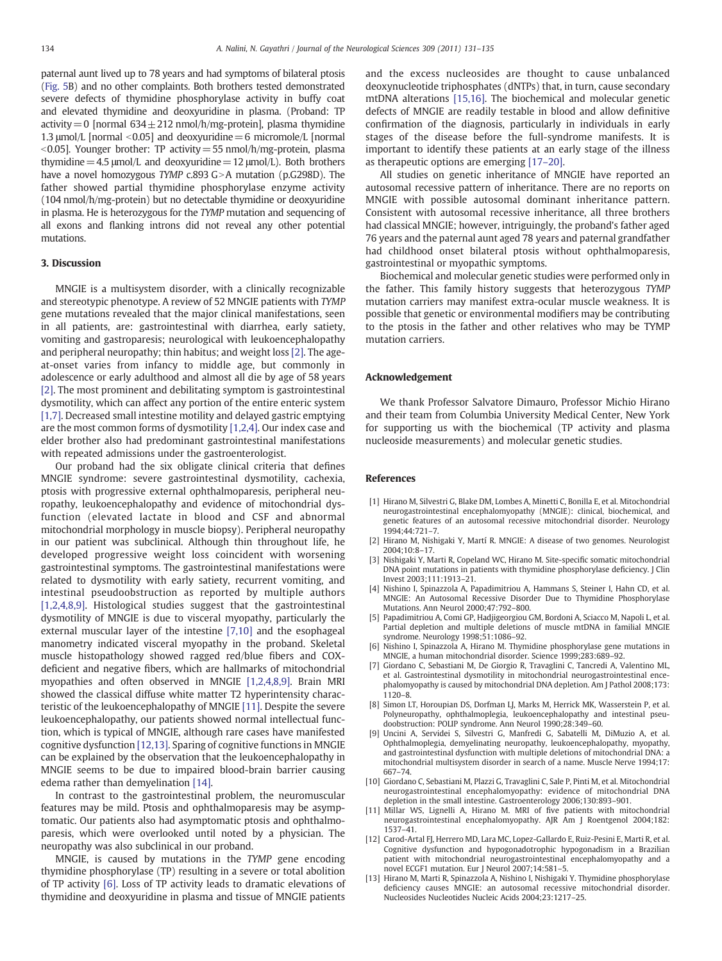<span id="page-3-0"></span>paternal aunt lived up to 78 years and had symptoms of bilateral ptosis [\(Fig. 5](#page-2-0)B) and no other complaints. Both brothers tested demonstrated severe defects of thymidine phosphorylase activity in buffy coat and elevated thymidine and deoxyuridine in plasma. (Proband: TP activity = 0 [normal  $634 \pm 212$  nmol/h/mg-protein], plasma thymidine 1.3  $\mu$ mol/L [normal < 0.05] and deoxyuridine = 6 micromole/L [normal  $\leq$  0.05]. Younger brother: TP activity = 55 nmol/h/mg-protein, plasma thymidine = 4.5  $\mu$ mol/L and deoxyuridine = 12  $\mu$ mol/L). Both brothers have a novel homozygous TYMP c.893  $G>A$  mutation (p.G298D). The father showed partial thymidine phosphorylase enzyme activity (104 nmol/h/mg-protein) but no detectable thymidine or deoxyuridine in plasma. He is heterozygous for the TYMP mutation and sequencing of all exons and flanking introns did not reveal any other potential mutations.

## 3. Discussion

MNGIE is a multisystem disorder, with a clinically recognizable and stereotypic phenotype. A review of 52 MNGIE patients with TYMP gene mutations revealed that the major clinical manifestations, seen in all patients, are: gastrointestinal with diarrhea, early satiety, vomiting and gastroparesis; neurological with leukoencephalopathy and peripheral neuropathy; thin habitus; and weight loss [2]. The ageat-onset varies from infancy to middle age, but commonly in adolescence or early adulthood and almost all die by age of 58 years [2]. The most prominent and debilitating symptom is gastrointestinal dysmotility, which can affect any portion of the entire enteric system [1,7]. Decreased small intestine motility and delayed gastric emptying are the most common forms of dysmotility [1,2,4]. Our index case and elder brother also had predominant gastrointestinal manifestations with repeated admissions under the gastroenterologist.

Our proband had the six obligate clinical criteria that defines MNGIE syndrome: severe gastrointestinal dysmotility, cachexia, ptosis with progressive external ophthalmoparesis, peripheral neuropathy, leukoencephalopathy and evidence of mitochondrial dysfunction (elevated lactate in blood and CSF and abnormal mitochondrial morphology in muscle biopsy). Peripheral neuropathy in our patient was subclinical. Although thin throughout life, he developed progressive weight loss coincident with worsening gastrointestinal symptoms. The gastrointestinal manifestations were related to dysmotility with early satiety, recurrent vomiting, and intestinal pseudoobstruction as reported by multiple authors [1,2,4,8,9]. Histological studies suggest that the gastrointestinal dysmotility of MNGIE is due to visceral myopathy, particularly the external muscular layer of the intestine [7,10] and the esophageal manometry indicated visceral myopathy in the proband. Skeletal muscle histopathology showed ragged red/blue fibers and COXdeficient and negative fibers, which are hallmarks of mitochondrial myopathies and often observed in MNGIE [1,2,4,8,9]. Brain MRI showed the classical diffuse white matter T2 hyperintensity characteristic of the leukoencephalopathy of MNGIE [11]. Despite the severe leukoencephalopathy, our patients showed normal intellectual function, which is typical of MNGIE, although rare cases have manifested cognitive dysfunction [12,13]. Sparing of cognitive functions in MNGIE can be explained by the observation that the leukoencephalopathy in MNGIE seems to be due to impaired blood-brain barrier causing edema rather than demyelination [\[14\].](#page-4-0)

In contrast to the gastrointestinal problem, the neuromuscular features may be mild. Ptosis and ophthalmoparesis may be asymptomatic. Our patients also had asymptomatic ptosis and ophthalmoparesis, which were overlooked until noted by a physician. The neuropathy was also subclinical in our proband.

MNGIE, is caused by mutations in the TYMP gene encoding thymidine phosphorylase (TP) resulting in a severe or total abolition of TP activity [6]. Loss of TP activity leads to dramatic elevations of thymidine and deoxyuridine in plasma and tissue of MNGIE patients

and the excess nucleosides are thought to cause unbalanced deoxynucleotide triphosphates (dNTPs) that, in turn, cause secondary mtDNA alterations [\[15,16\].](#page-4-0) The biochemical and molecular genetic defects of MNGIE are readily testable in blood and allow definitive confirmation of the diagnosis, particularly in individuals in early stages of the disease before the full-syndrome manifests. It is important to identify these patients at an early stage of the illness as therapeutic options are emerging [\[17](#page-4-0)–20].

All studies on genetic inheritance of MNGIE have reported an autosomal recessive pattern of inheritance. There are no reports on MNGIE with possible autosomal dominant inheritance pattern. Consistent with autosomal recessive inheritance, all three brothers had classical MNGIE; however, intriguingly, the proband's father aged 76 years and the paternal aunt aged 78 years and paternal grandfather had childhood onset bilateral ptosis without ophthalmoparesis, gastrointestinal or myopathic symptoms.

Biochemical and molecular genetic studies were performed only in the father. This family history suggests that heterozygous TYMP mutation carriers may manifest extra-ocular muscle weakness. It is possible that genetic or environmental modifiers may be contributing to the ptosis in the father and other relatives who may be TYMP mutation carriers.

## Acknowledgement

We thank Professor Salvatore Dimauro, Professor Michio Hirano and their team from Columbia University Medical Center, New York for supporting us with the biochemical (TP activity and plasma nucleoside measurements) and molecular genetic studies.

## References

- [1] Hirano M, Silvestri G, Blake DM, Lombes A, Minetti C, Bonilla E, et al. Mitochondrial neurogastrointestinal encephalomyopathy (MNGIE): clinical, biochemical, and genetic features of an autosomal recessive mitochondrial disorder. Neurology 1994;44:721–7.
- [2] Hirano M, Nishigaki Y, Martí R. MNGIE: A disease of two genomes. Neurologist 2004;10:8–17.
- Nishigaki Y, Marti R, Copeland WC, Hirano M. Site-specific somatic mitochondrial DNA point mutations in patients with thymidine phosphorylase deficiency. J Clin Invest 2003;111:1913–21.
- Nishino I, Spinazzola A, Papadimitriou A, Hammans S, Steiner I, Hahn CD, et al. MNGIE: An Autosomal Recessive Disorder Due to Thymidine Phosphorylase Mutations. Ann Neurol 2000;47:792–800.
- [5] Papadimitriou A, Comi GP, Hadjigeorgiou GM, Bordoni A, Sciacco M, Napoli L, et al. Partial depletion and multiple deletions of muscle mtDNA in familial MNGIE syndrome. Neurology 1998;51:1086-92.
- Nishino I, Spinazzola A, Hirano M. Thymidine phosphorylase gene mutations in MNGIE, a human mitochondrial disorder. Science 1999;283:689–92.
- [7] Giordano C, Sebastiani M, De Giorgio R, Travaglini C, Tancredi A, Valentino ML, et al. Gastrointestinal dysmotility in mitochondrial neurogastrointestinal encephalomyopathy is caused by mitochondrial DNA depletion. Am J Pathol 2008;173: 1120–8.
- [8] Simon LT, Horoupian DS, Dorfman LJ, Marks M, Herrick MK, Wasserstein P, et al. Polyneuropathy, ophthalmoplegia, leukoencephalopathy and intestinal pseudoobstruction: POLIP syndrome. Ann Neurol 1990;28:349–60.
- [9] Uncini A, Servidei S, Silvestri G, Manfredi G, Sabatelli M, DiMuzio A, et al. Ophthalmoplegia, demyelinating neuropathy, leukoencephalopathy, myopathy, and gastrointestinal dysfunction with multiple deletions of mitochondrial DNA: a mitochondrial multisystem disorder in search of a name. Muscle Nerve 1994;17: 667–74.
- [10] Giordano C, Sebastiani M, Plazzi G, Travaglini C, Sale P, Pinti M, et al. Mitochondrial neurogastrointestinal encephalomyopathy: evidence of mitochondrial DNA depletion in the small intestine. Gastroenterology 2006;130:893–901.
- [11] Millar WS, Lignelli A, Hirano M. MRI of five patients with mitochondrial neurogastrointestinal encephalomyopathy. AJR Am J Roentgenol 2004;182: 1537–41.
- [12] Carod-Artal FJ, Herrero MD, Lara MC, Lopez-Gallardo E, Ruiz-Pesini E, Marti R, et al. Cognitive dysfunction and hypogonadotrophic hypogonadism in a Brazilian patient with mitochondrial neurogastrointestinal encephalomyopathy and a novel ECGF1 mutation. Eur J Neurol 2007;14:581-5.
- [13] Hirano M, Marti R, Spinazzola A, Nishino I, Nishigaki Y. Thymidine phosphorylase deficiency causes MNGIE: an autosomal recessive mitochondrial disorder. Nucleosides Nucleotides Nucleic Acids 2004;23:1217–25.